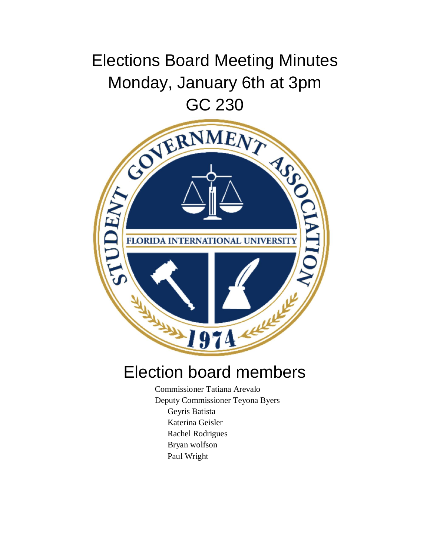## Elections Board Meeting Minutes Monday, January 6th at 3pm



## Election board members

Commissioner Tatiana Arevalo Deputy Commissioner Teyona Byers Geyris Batista Katerina Geisler Rachel Rodrigues Bryan wolfson Paul Wright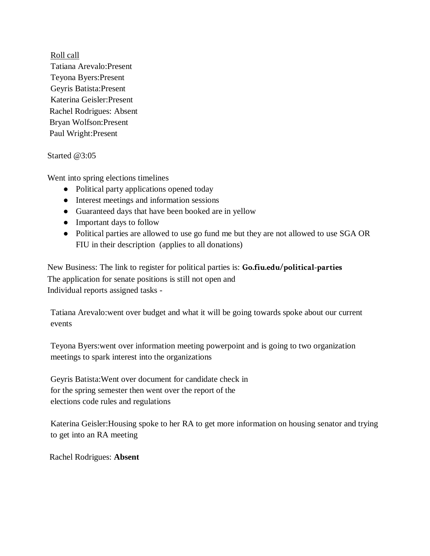Roll call Tatiana Arevalo:Present Teyona Byers:Present Geyris Batista:Present Katerina Geisler:Present Rachel Rodrigues: Absent Bryan Wolfson:Present Paul Wright:Present

Started @3:05

Went into spring elections timelines

- Political party applications opened today
- Interest meetings and information sessions
- Guaranteed days that have been booked are in yellow
- Important days to follow
- Political parties are allowed to use go fund me but they are not allowed to use SGA OR FIU in their description (applies to all donations)

New Business: The link to register for political parties is: **Go.fiu.edu/political-parties**  The application for senate positions is still not open and Individual reports assigned tasks -

Tatiana Arevalo:went over budget and what it will be going towards spoke about our current events

Teyona Byers:went over information meeting powerpoint and is going to two organization meetings to spark interest into the organizations

Geyris Batista:Went over document for candidate check in for the spring semester then went over the report of the elections code rules and regulations

Katerina Geisler:Housing spoke to her RA to get more information on housing senator and trying to get into an RA meeting

Rachel Rodrigues: **Absent**